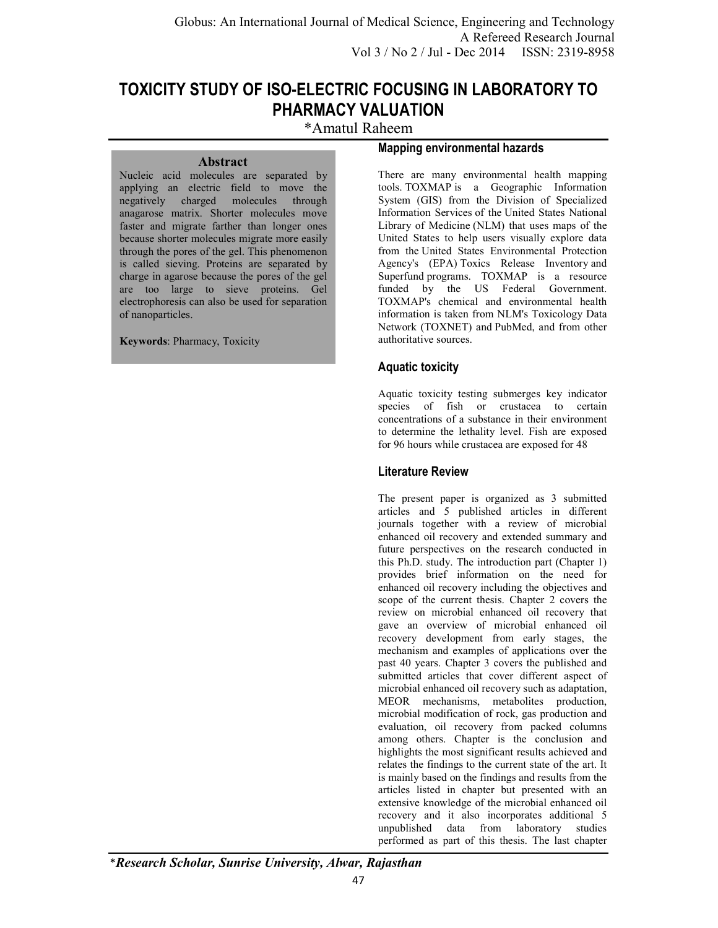# **TOXICITY STUDY OF ISO-ELECTRIC FOCUSING IN LABORATORY TO PHARMACY VALUATION**

\*Amatul Raheem

#### **Abstract**

Nucleic acid molecules are separated by applying an electric field to move the negatively charged molecules through anagarose matrix. Shorter molecules move faster and migrate farther than longer ones because shorter molecules migrate more easily through the pores of the gel. This phenomenon is called sieving. Proteins are separated by charge in agarose because the pores of the gel are too large to sieve proteins. Gel electrophoresis can also be used for separation of nanoparticles.

**Keywords**: Pharmacy, Toxicity

### **Mapping environmental hazards**

There are many environmental health mapping tools. TOXMAP is a Geographic Information System (GIS) from the Division of Specialized Information Services of the United States National Library of Medicine (NLM) that uses maps of the United States to help users visually explore data from the United States Environmental Protection Agency's (EPA) Toxics Release Inventory and Superfund programs. TOXMAP is a resource funded by the US Federal Government. TOXMAP's chemical and environmental health information is taken from NLM's Toxicology Data Network (TOXNET) and PubMed, and from other authoritative sources.

## **Aquatic toxicity**

Aquatic toxicity testing submerges key indicator species of fish or crustacea to certain concentrations of a substance in their environment to determine the lethality level. Fish are exposed for 96 hours while crustacea are exposed for 48

## **Literature Review**

The present paper is organized as 3 submitted articles and 5 published articles in different journals together with a review of microbial enhanced oil recovery and extended summary and future perspectives on the research conducted in this Ph.D. study. The introduction part (Chapter 1) provides brief information on the need for enhanced oil recovery including the objectives and scope of the current thesis. Chapter 2 covers the review on microbial enhanced oil recovery that gave an overview of microbial enhanced oil recovery development from early stages, the mechanism and examples of applications over the past 40 years. Chapter 3 covers the published and submitted articles that cover different aspect of microbial enhanced oil recovery such as adaptation, MEOR mechanisms, metabolites production, microbial modification of rock, gas production and evaluation, oil recovery from packed columns among others. Chapter is the conclusion and highlights the most significant results achieved and relates the findings to the current state of the art. It is mainly based on the findings and results from the articles listed in chapter but presented with an extensive knowledge of the microbial enhanced oil recovery and it also incorporates additional 5 unpublished data from laboratory studies performed as part of this thesis. The last chapter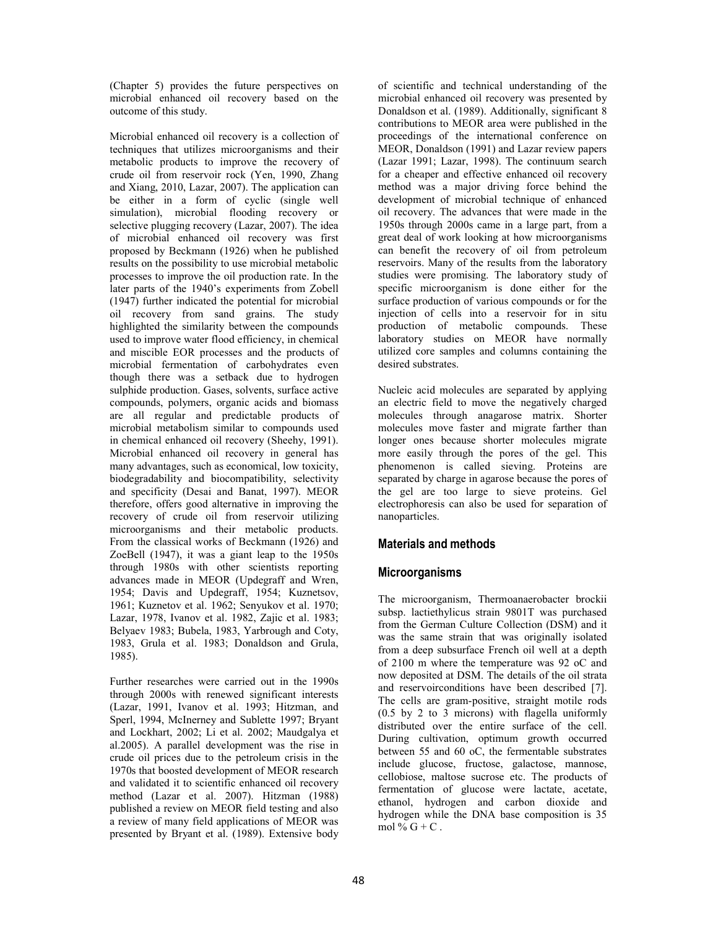(Chapter 5) provides the future perspectives on microbial enhanced oil recovery based on the outcome of this study.

Microbial enhanced oil recovery is a collection of techniques that utilizes microorganisms and their metabolic products to improve the recovery of crude oil from reservoir rock (Yen, 1990, Zhang and Xiang, 2010, Lazar, 2007). The application can be either in a form of cyclic (single well simulation), microbial flooding recovery or selective plugging recovery (Lazar, 2007). The idea of microbial enhanced oil recovery was first proposed by Beckmann (1926) when he published results on the possibility to use microbial metabolic processes to improve the oil production rate. In the later parts of the 1940's experiments from Zobell (1947) further indicated the potential for microbial oil recovery from sand grains. The study highlighted the similarity between the compounds used to improve water flood efficiency, in chemical and miscible EOR processes and the products of microbial fermentation of carbohydrates even though there was a setback due to hydrogen sulphide production. Gases, solvents, surface active compounds, polymers, organic acids and biomass are all regular and predictable products of microbial metabolism similar to compounds used in chemical enhanced oil recovery (Sheehy, 1991). Microbial enhanced oil recovery in general has many advantages, such as economical, low toxicity, biodegradability and biocompatibility, selectivity and specificity (Desai and Banat, 1997). MEOR therefore, offers good alternative in improving the recovery of crude oil from reservoir utilizing microorganisms and their metabolic products. From the classical works of Beckmann (1926) and ZoeBell (1947), it was a giant leap to the 1950s through 1980s with other scientists reporting advances made in MEOR (Updegraff and Wren, 1954; Davis and Updegraff, 1954; Kuznetsov, 1961; Kuznetov et al. 1962; Senyukov et al. 1970; Lazar, 1978, Ivanov et al. 1982, Zajic et al. 1983; Belyaev 1983; Bubela, 1983, Yarbrough and Coty, 1983, Grula et al. 1983; Donaldson and Grula, 1985).

Further researches were carried out in the 1990s through 2000s with renewed significant interests (Lazar, 1991, Ivanov et al. 1993; Hitzman, and Sperl, 1994, McInerney and Sublette 1997; Bryant and Lockhart, 2002; Li et al. 2002; Maudgalya et al.2005). A parallel development was the rise in crude oil prices due to the petroleum crisis in the 1970s that boosted development of MEOR research and validated it to scientific enhanced oil recovery method (Lazar et al. 2007). Hitzman (1988) published a review on MEOR field testing and also a review of many field applications of MEOR was presented by Bryant et al. (1989). Extensive body of scientific and technical understanding of the microbial enhanced oil recovery was presented by Donaldson et al. (1989). Additionally, significant 8 contributions to MEOR area were published in the proceedings of the international conference on MEOR, Donaldson (1991) and Lazar review papers (Lazar 1991; Lazar, 1998). The continuum search for a cheaper and effective enhanced oil recovery method was a major driving force behind the development of microbial technique of enhanced oil recovery. The advances that were made in the 1950s through 2000s came in a large part, from a great deal of work looking at how microorganisms can benefit the recovery of oil from petroleum reservoirs. Many of the results from the laboratory studies were promising. The laboratory study of specific microorganism is done either for the surface production of various compounds or for the injection of cells into a reservoir for in situ production of metabolic compounds. These laboratory studies on MEOR have normally utilized core samples and columns containing the desired substrates.

Nucleic acid molecules are separated by applying an electric field to move the negatively charged molecules through anagarose matrix. Shorter molecules move faster and migrate farther than longer ones because shorter molecules migrate more easily through the pores of the gel. This phenomenon is called sieving. Proteins are separated by charge in agarose because the pores of the gel are too large to sieve proteins. Gel electrophoresis can also be used for separation of nanoparticles.

## **Materials and methods**

## **Microorganisms**

The microorganism, Thermoanaerobacter brockii subsp. lactiethylicus strain 9801T was purchased from the German Culture Collection (DSM) and it was the same strain that was originally isolated from a deep subsurface French oil well at a depth of 2100 m where the temperature was 92 oC and now deposited at DSM. The details of the oil strata and reservoirconditions have been described [7]. The cells are gram-positive, straight motile rods (0.5 by 2 to 3 microns) with flagella uniformly distributed over the entire surface of the cell. During cultivation, optimum growth occurred between 55 and 60 oC, the fermentable substrates include glucose, fructose, galactose, mannose, cellobiose, maltose sucrose etc. The products of fermentation of glucose were lactate, acetate, ethanol, hydrogen and carbon dioxide and hydrogen while the DNA base composition is 35 mol %  $G + C$ .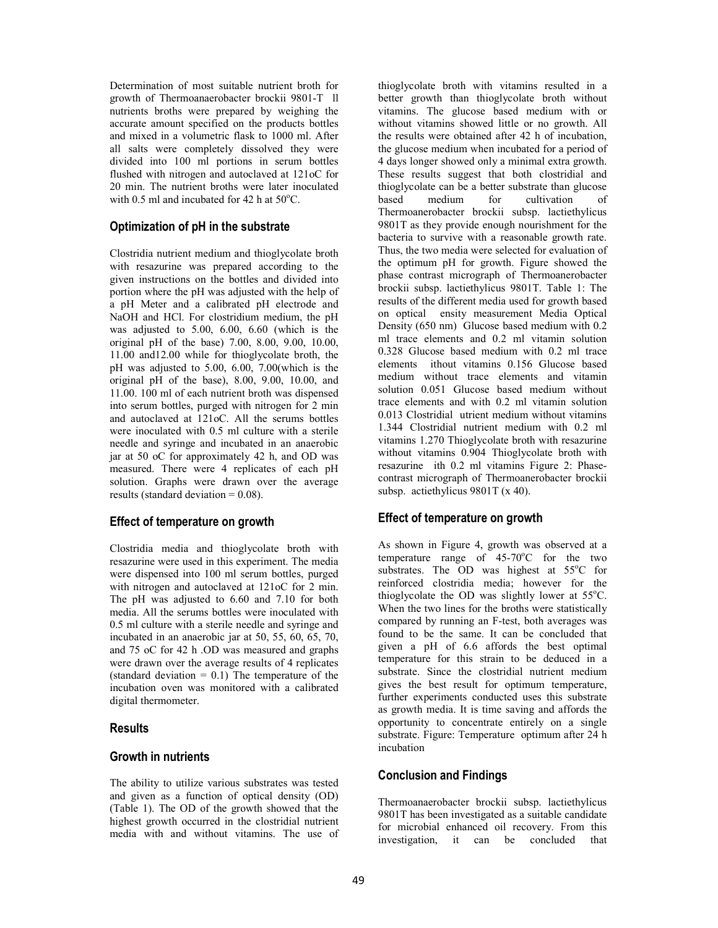Determination of most suitable nutrient broth for growth of Thermoanaerobacter brockii 9801-T ll nutrients broths were prepared by weighing the accurate amount specified on the products bottles and mixed in a volumetric flask to 1000 ml. After all salts were completely dissolved they were divided into 100 ml portions in serum bottles flushed with nitrogen and autoclaved at 121oC for 20 min. The nutrient broths were later inoculated with 0.5 ml and incubated for 42 h at  $50^{\circ}$ C.

## **Optimization of pH in the substrate**

Clostridia nutrient medium and thioglycolate broth with resazurine was prepared according to the given instructions on the bottles and divided into portion where the pH was adjusted with the help of a pH Meter and a calibrated pH electrode and NaOH and HCl. For clostridium medium, the pH was adjusted to 5.00, 6.00, 6.60 (which is the original pH of the base) 7.00, 8.00, 9.00, 10.00, 11.00 and12.00 while for thioglycolate broth, the pH was adjusted to 5.00, 6.00, 7.00(which is the original pH of the base), 8.00, 9.00, 10.00, and 11.00. 100 ml of each nutrient broth was dispensed into serum bottles, purged with nitrogen for 2 min and autoclaved at 121oC. All the serums bottles were inoculated with 0.5 ml culture with a sterile needle and syringe and incubated in an anaerobic jar at 50 oC for approximately 42 h, and OD was measured. There were 4 replicates of each pH solution. Graphs were drawn over the average results (standard deviation = 0.08).

## **Effect of temperature on growth**

Clostridia media and thioglycolate broth with resazurine were used in this experiment. The media were dispensed into 100 ml serum bottles, purged with nitrogen and autoclaved at 121oC for 2 min. The pH was adjusted to 6.60 and 7.10 for both media. All the serums bottles were inoculated with 0.5 ml culture with a sterile needle and syringe and incubated in an anaerobic jar at 50, 55, 60, 65, 70, and 75 oC for 42 h .OD was measured and graphs were drawn over the average results of 4 replicates (standard deviation  $= 0.1$ ) The temperature of the incubation oven was monitored with a calibrated digital thermometer.

## **Results**

## **Growth in nutrients**

The ability to utilize various substrates was tested and given as a function of optical density (OD) (Table 1). The OD of the growth showed that the highest growth occurred in the clostridial nutrient media with and without vitamins. The use of thioglycolate broth with vitamins resulted in a better growth than thioglycolate broth without vitamins. The glucose based medium with or without vitamins showed little or no growth. All the results were obtained after 42 h of incubation, the glucose medium when incubated for a period of 4 days longer showed only a minimal extra growth. These results suggest that both clostridial and thioglycolate can be a better substrate than glucose<br>based medium for cultivation of cultivation of Thermoanerobacter brockii subsp. lactiethylicus 9801T as they provide enough nourishment for the bacteria to survive with a reasonable growth rate. Thus, the two media were selected for evaluation of the optimum pH for growth. Figure showed the phase contrast micrograph of Thermoanerobacter brockii subsp. lactiethylicus 9801T. Table 1: The results of the different media used for growth based on optical ensity measurement Media Optical Density (650 nm) Glucose based medium with 0.2 ml trace elements and 0.2 ml vitamin solution 0.328 Glucose based medium with 0.2 ml trace elements ithout vitamins 0.156 Glucose based medium without trace elements and vitamin solution 0.051 Glucose based medium without trace elements and with 0.2 ml vitamin solution 0.013 Clostridial utrient medium without vitamins 1.344 Clostridial nutrient medium with 0.2 ml vitamins 1.270 Thioglycolate broth with resazurine without vitamins 0.904 Thioglycolate broth with resazurine ith 0.2 ml vitamins Figure 2: Phasecontrast micrograph of Thermoanerobacter brockii subsp. actiethylicus 9801T (x 40).

# **Effect of temperature on growth**

As shown in Figure 4, growth was observed at a temperature range of  $45-70^{\circ}$ C for the two substrates. The OD was highest at  $55^{\circ}$ C for reinforced clostridia media; however for the thioglycolate the OD was slightly lower at  $55^{\circ}$ C. When the two lines for the broths were statistically compared by running an F-test, both averages was found to be the same. It can be concluded that given a pH of 6.6 affords the best optimal temperature for this strain to be deduced in a substrate. Since the clostridial nutrient medium gives the best result for optimum temperature, further experiments conducted uses this substrate as growth media. It is time saving and affords the opportunity to concentrate entirely on a single substrate. Figure: Temperature optimum after 24 h incubation

## **Conclusion and Findings**

Thermoanaerobacter brockii subsp. lactiethylicus 9801T has been investigated as a suitable candidate for microbial enhanced oil recovery. From this investigation, it can be concluded that